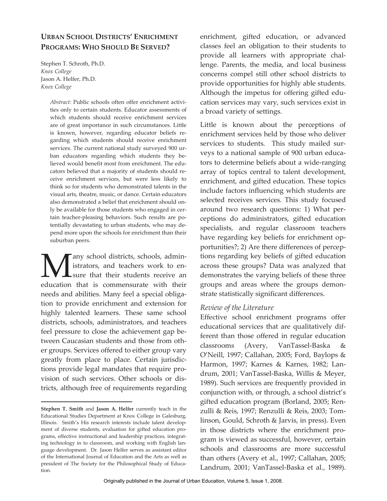# **URBAN SCHOOL DISTRICTS' ENRICHMENT PROGRAMS: WHO SHOULD BE SERVED?**

*1* Stephen T. Schroth, Ph.D. *Knox College*  Jason A. Helfer, Ph.D. *Knox College* 

> *Abstract:* Public schools often offer enrichment activities only to certain students. Educator assessments of which students should receive enrichment services are of great importance in such circumstances. Little is known, however, regarding educator beliefs regarding which students should receive enrichment services. The current national study surveyed 900 urban educators regarding which students they believed would benefit most from enrichment. The educators believed that a majority of students should receive enrichment services, but were less likely to think so for students who demonstrated talents in the visual arts, theatre, music, or dance. Certain educators also demonstrated a belief that enrichment should only be available for those students who engaged in certain teacher-pleasing behaviors. Such results are potentially devastating to urban students, who may depend more upon the schools for enrichment than their suburban peers.

**Many school districts, schools, admin**<br>strators, and teachers work to en-<br>education that is commensurate with their istrators, and teachers work to en- $\mathsf{L}$ sure that their students receive an education that is commensurate with their needs and abilities. Many feel a special obligation to provide enrichment and extension for highly talented learners. These same school districts, schools, administrators, and teachers feel pressure to close the achievement gap between Caucasian students and those from other groups. Services offered to either group vary greatly from place to place. Certain jurisdictions provide legal mandates that require provision of such services. Other schools or districts, although free of requirements regarding enrichment, gifted education, or advanced classes feel an obligation to their students to provide all learners with appropriate challenge. Parents, the media, and local business concerns compel still other school districts to provide opportunities for highly able students. Although the impetus for offering gifted education services may vary, such services exist in a broad variety of settings.

Little is known about the perceptions of enrichment services held by those who deliver services to students. This study mailed surveys to a national sample of 900 urban educators to determine beliefs about a wide-ranging array of topics central to talent development, enrichment, and gifted education. These topics include factors influencing which students are selected receives services. This study focused around two research questions: 1) What per ceptions do administrators, gifted education specialists, and regular classroom teachers have regarding key beliefs for enrichment opportunities?; 2) Are there differences of perceptions regarding key beliefs of gifted education across these groups? Data was analyzed that demonstrates the varying beliefs of these three groups and areas where the groups demonstrate statistically significant differences. **.** 

## *Review of the Literature*

Effective school enrichment programs offer educational services that are qualitatively different than those offered in regular education classrooms (Avery, VanTassel-Baska & O'Neill, 1997; Callahan, 2005; Ford, Baylops & Harmon, 1997; Karnes & Karnes, 1982; Lan drum, 2001; VanTassel-Baska, Willis & Meyer, 1989). Such services are frequently provided in conjunction with, or through, a school district's gifted education program (Borland, 2005; Renzulli & Reis, 1997; Renzulli & Reis, 2003; Tomlinson, Gould, Schroth & Jarvis, in press). Even in those districts where the enrichment program is viewed as successful, however, certain schools and classrooms are more successful than others (Avery et al., 1997; Callahan, 2005; Landrum, 2001; VanTassel-Baska et al., 1989).  $\ddot{\phantom{0}}$ 

**Stephen T. Smith** and **Jason A. Helfer** currently teach in the Educational Studies Department at Knox College in Galesburg, Illinois. Smith's His research interests include talent development of diverse students, evaluation for gifted education programs, effective instructional and leadership practices, integrating technology in to classroom, and working with English language development. Dr. Jason Helfer serves as assistant editor of the International Journal of Education and the Arts as well as president of The Society for the Philosophical Study of Education.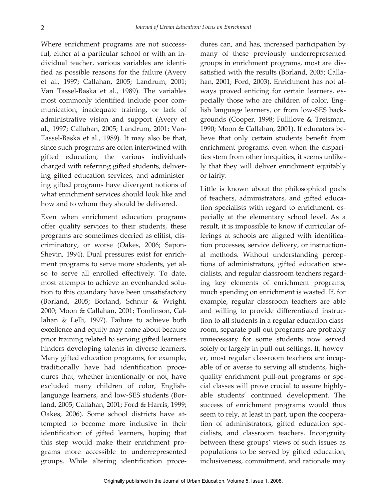Where enrichment programs are not successful, either at a particular school or with an individual teacher, various variables are identified as possible reasons for the failure (Avery et al., 1997; Callahan, 2005; Landrum, 2001; Van Tassel-Baska et al., 1989). The variables most commonly identified include poor communication, inadequate training, or lack of administrative vision and support (Avery et al., 1997; Callahan, 2005; Landrum, 2001; Van-Tassel-Baska et al., 1989). It may also be that, since such programs are often intertwined with gifted education, the various individuals charged with referring gifted students, delivering gifted education services, and administering gifted programs have divergent notions of what enrichment services should look like and how and to whom they should be delivered.

 most attempts to achieve an evenhanded solu- lahan & Lelli, 1997). Failure to achieve both Many gifted education programs, for example, dures that, whether intentionally or not, have this step would make their enrichment pro-Even when enrichment education programs offer quality services to their students, these programs are sometimes decried as elitist, discriminatory, or worse (Oakes, 2006; Sapon-Shevin, 1994). Dual pressures exist for enrichment programs to serve more students, yet also to serve all enrolled effectively. To date, tion to this quandary have been unsatisfactory (Borland, 2005; Borland, Schnur & Wright, 2000; Moon & Callahan, 2001; Tomlinson, Calexcellence and equity may come about because prior training related to serving gifted learners hinders developing talents in diverse learners. traditionally have had identification proceexcluded many children of color, Englishlanguage learners, and low-SES students (Borland, 2005; Callahan, 2001; Ford & Harris, 1999; Oakes, 2006). Some school districts have attempted to become more inclusive in their identification of gifted learners, hoping that grams more accessible to underrepresented groups. While altering identification procedures can, and has, increased participation by many of these previously underrepresented groups in enrichment programs, most are dissatisfied with the results (Borland, 2005; Callahan, 2001; Ford, 2003). Enrichment has not always proved enticing for certain learners, especially those who are children of color, English language learners, or from low-SES backgrounds (Cooper, 1998; Fullilove & Treisman, 1990; Moon & Callahan, 2001). If educators believe that only certain students benefit from enrichment programs, even when the disparities stem from other inequities, it seems unlikely that they will deliver enrichment equitably or fairly.

 populations to be served by gifted education, Little is known about the philosophical goals of teachers, administrators, and gifted education specialists with regard to enrichment, especially at the elementary school level. As a result, it is impossible to know if curricular offerings at schools are aligned with identification processes, service delivery, or instructional methods. Without understanding perceptions of administrators, gifted education specialists, and regular classroom teachers regarding key elements of enrichment programs, much spending on enrichment is wasted. If, for example, regular classroom teachers are able and willing to provide differentiated instruction to all students in a regular education classroom, separate pull-out programs are probably unnecessary for some students now served solely or largely in pull-out settings. If, however, most regular classroom teachers are incapable of or averse to serving all students, highquality enrichment pull-out programs or special classes will prove crucial to assure highlyable students' continued development. The success of enrichment programs would thus seem to rely, at least in part, upon the cooperation of administrators, gifted education specialists, and classroom teachers. Incongruity between these groups' views of such issues as inclusiveness, commitment, and rationale may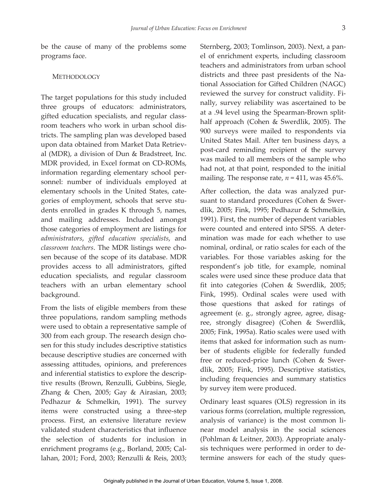be the cause of many of the problems some programs face.

#### **METHODOLOGY**

The target populations for this study included three groups of educators: administrators, gifted education specialists, and regular classroom teachers who work in urban school districts. The sampling plan was developed based upon data obtained from Market Data Retrieval (MDR), a division of Dun & Bradstreet, Inc. MDR provided, in Excel format on CD-ROMs, information regarding elementary school per sonnel: number of individuals employed at elementary schools in the United States, categories of employment, schools that serve students enrolled in grades K through 5, names, and mailing addresses. Included amongst those categories of employment are listings for *administrators*, *gifted education specialists*, and *classroom teachers*. The MDR listings were chosen because of the scope of its database. MDR provides access to all administrators, gifted education specialists, and regular classroom teachers with an urban elementary school background. **.** 

From the lists of eligible members from these three populations, random sampling methods were used to obtain a representative sample of 300 from each group. The research design chosen for this study includes descriptive statistics because descriptive studies are concerned with assessing attitudes, opinions, and preferences and inferential statistics to explore the descriptive results (Brown, Renzulli, Gubbins, Siegle, Zhang & Chen, 2005; Gay & Airasian, 2003; Pedhazur & Schmelkin, 1991). The survey items were constructed using a three-step process. First, an extensive literature review validated student characteristics that influence the selection of students for inclusion in enrichment programs (e.g., Borland, 2005; Callahan, 2001; Ford, 2003; Renzulli & Reis, 2003;

 was mailed to all members of the sample who Sternberg, 2003; Tomlinson, 2003). Next, a panel of enrichment experts, including classroom teachers and administrators from urban school districts and three past presidents of the National Association for Gifted Children (NAGC) reviewed the survey for construct validity. Finally, survey reliability was ascertained to be at a .94 level using the Spearman-Brown splithalf approach (Cohen & Swerdlik, 2005). The 900 surveys were mailed to respondents via United States Mail. After ten business days, a post-card reminding recipient of the survey had not, at that point, responded to the initial mailing. The response rate,  $n = 411$ , was  $45.6\%$ .

 1991). First, the number of dependent variables variables. For those variables asking for the scales were used since these produce data that those questions that asked for ratings of by survey item were produced. After collection, the data was analyzed pursuant to standard procedures (Cohen & Swerdlik, 2005; Fink, 1995; Pedhazur & Schmelkin, were counted and entered into SPSS. A determination was made for each whether to use nominal, ordinal, or ratio scales for each of the respondent's job title, for example, nominal fit into categories (Cohen & Swerdlik, 2005; Fink, 1995). Ordinal scales were used with agreement (e. g., strongly agree, agree, disagree, strongly disagree) (Cohen & Swerdlik, 2005; Fink, 1995a). Ratio scales were used with items that asked for information such as number of students eligible for federally funded free or reduced-price lunch (Cohen & Swerdlik, 2005; Fink, 1995). Descriptive statistics, including frequencies and summary statistics

 various forms (correlation, multiple regression, Ordinary least squares (OLS) regression in its analysis of variance) is the most common linear model analysis in the social sciences (Pohlman & Leitner, 2003). Appropriate analysis techniques were performed in order to determine answers for each of the study ques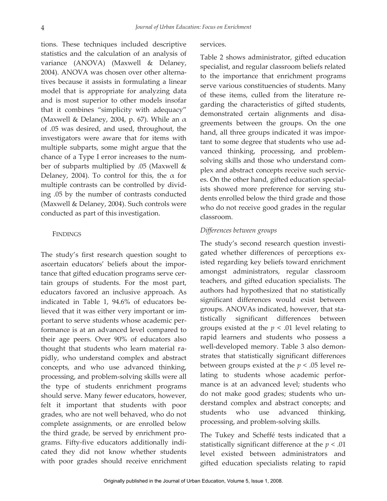tions. These techniques included descriptive statistics and the calculation of an analysis of variance (ANOVA) (Maxwell & Delaney, 2004). ANOVA was chosen over other alternatives because it assists in formulating a linear model that is appropriate for analyzing data and is most superior to other models insofar that it combines "simplicity with adequacy" (Maxwell & Delaney, 2004, p. 67). While an  $\alpha$ of .05 was desired, and used, throughout, the investigators were aware that for items with multiple subparts, some might argue that the chance of a Type I error increases to the number of subparts multiplied by .05 (Maxwell & Delaney, 2004). To control for this, the  $\alpha$  for multiple contrasts can be controlled by dividing .05 by the number of contrasts conducted (Maxwell & Delaney, 2004). Such controls were conducted as part of this investigation.

#### FINDINGS

The study's first research question sought to ascertain educators' beliefs about the importance that gifted education programs serve certain groups of students. For the most part, educators favored an inclusive approach. As indicated in Table 1, 94.6% of educators believed that it was either very important or important to serve students whose academic performance is at an advanced level compared to their age peers. Over 90% of educators also thought that students who learn material rapidly, who understand complex and abstract concepts, and who use advanced thinking, processing, and problem-solving skills were all the type of students enrichment programs should serve. Many fewer educators, however, felt it important that students with poor grades, who are not well behaved, who do not complete assignments, or are enrolled below the third grade, be served by enrichment programs. Fifty-five educators additionally indicated they did not know whether students with poor grades should receive enrichment

#### services.

Table 2 shows administrator, gifted educatio n specialist, and regular classroom beliefs relate d to the importance that enrichment program s serve various constituencies of students. Man y of these items, culled from the literature regarding the characteristics of gifted students , demonstrated certain alignments and disagreements between the groups. On the on e hand, all three groups indicated it was important to some degree that students who use advanced thinking, processing, and problem solving skills and those who understand complex and abstract concepts receive such services. On the other hand, gifted education specialists showed more preference for serving students enrolled below the third grade and thos e who do not receive good grades in the regula r classroom.

### *Differences between groups*

The study's second research question investigated whether differences of perceptions existed regarding key beliefs toward enrichment amongst administrators, regular classroom teachers, and gifted education specialists. The authors had hypothesized that no statistically significant differences would exist between groups. ANOVAs indicated, however, that statistically significant differences between groups existed at the  $p < .01$  level relating to rapid learners and students who possess a well-developed memory. Table 3 also demonstrates that statistically significant differences between groups existed at the *p* < .05 level relating to students whose academic performance is at an advanced level; students who do not make good grades; students who understand complex and abstract concepts; and students who use advanced thinking, processing, and problem-solving skills.

The Tukey and Scheffé tests indicated that a statistically significant difference at the *p* < .01 level existed between administrators and gifted education specialists relating to rapid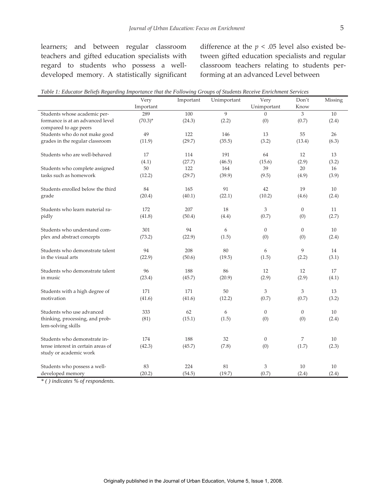developed memory. A statistically significant forming at an advanced Level between

learners; and between regular classroom difference at the  $p < .05$  level also existed beteachers and gifted education specialists with tween gifted education specialists and regular regard to students who possess a well- classroom teachers relating to students per-

|                                                       | Very       | Important | Unimportant | Very           | Don't          | Missing |
|-------------------------------------------------------|------------|-----------|-------------|----------------|----------------|---------|
|                                                       | Important  |           |             | Unimportant    | Know           |         |
| Students whose academic per-                          | 289        | 100       | 9           | $\Omega$       | 3              | 10      |
| formance is at an advanced level                      | $(70.3)^*$ | (24.3)    | (2.2)       | (0)            | (0.7)          | (2.4)   |
| compared to age peers                                 |            |           |             |                |                |         |
| Students who do not make good                         | 49         | 122       | 146         | 13             | 55             | 26      |
| grades in the regular classroom                       | (11.9)     | (29.7)    | (35.5)      | (3.2)          | (13.4)         | (6.3)   |
| Students who are well-behaved                         | 17         | 114       | 191         | 64             | 12             | 13      |
|                                                       | (4.1)      | (27.7)    | (46.5)      | (15.6)         | (2.9)          | (3.2)   |
| Students who complete assigned                        | 50         | 122       | 164         | 39             | 20             | 16      |
| tasks such as homework                                | (12.2)     | (29.7)    | (39.9)      | (9.5)          | (4.9)          | (3.9)   |
| Students enrolled below the third                     | 84         | 165       | 91          | 42             | 19             | 10      |
| grade                                                 | (20.4)     | (40.1)    | (22.1)      | (10.2)         | (4.6)          | (2.4)   |
| Students who learn material ra-                       | 172        | 207       | 18          | 3              | $\overline{0}$ | 11      |
| pidly                                                 | (41.8)     | (50.4)    | (4.4)       | (0.7)          | (0)            | (2.7)   |
| Students who understand com-                          | 301        | 94        | 6           | $\overline{0}$ | $\overline{0}$ | 10      |
| plex and abstract concepts                            | (73.2)     | (22.9)    | (1.5)       | (0)            | (0)            | (2.4)   |
| Students who demonstrate talent                       | 94         | 208       | 80          | 6              | 9              | 14      |
| in the visual arts                                    | (22.9)     | (50.6)    | (19.5)      | (1.5)          | (2.2)          | (3.1)   |
| Students who demonstrate talent                       | 96         | 188       | 86          | 12             | 12             | 17      |
| in music                                              | (23.4)     | (45.7)    | (20.9)      | (2.9)          | (2.9)          | (4.1)   |
| Students with a high degree of                        | 171        | 171       | 50          | 3              | 3              | 13      |
| motivation                                            | (41.6)     | (41.6)    | (12.2)      | (0.7)          | (0.7)          | (3.2)   |
| Students who use advanced                             | 333        | 62        | 6           | $\overline{0}$ | $\overline{0}$ | 10      |
| thinking, processing, and prob-<br>lem-solving skills | (81)       | (15.1)    | (1.5)       | (0)            | (0)            | (2.4)   |
| Students who demonstrate in-                          | 174        | 188       | 32          | $\overline{0}$ | 7              | 10      |
| tense interest in certain areas of                    | (42.3)     | (45.7)    | (7.8)       | (0)            | (1.7)          | (2.3)   |
| study or academic work                                |            |           |             |                |                |         |
| Students who possess a well-                          | 83         | 224       | 81          | 3              | 10             | 10      |
| developed memory                                      | (20.2)     | (54.5)    | (19.7)      | (0.7)          | (2.4)          | (2.4)   |

 *Table 1: Educator Beliefs Regarding Importance that the Following Groups of Students Receive Enrichment Services* 

*\* ( ) indicates % of respondents.*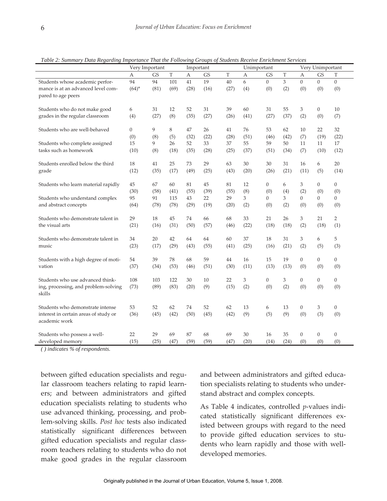|                                       | Very Important |           |      |      | Important<br>Unimportant |      |      | Very Unimportant |      |                  |                  |                  |
|---------------------------------------|----------------|-----------|------|------|--------------------------|------|------|------------------|------|------------------|------------------|------------------|
|                                       | А              | <b>GS</b> | T    | А    | <b>GS</b>                | T    | А    | <b>GS</b>        | T    | А                | <b>GS</b>        | T                |
| Students whose academic perfor-       | 94             | 94        | 101  | 41   | 19                       | 40   | 6    | $\overline{0}$   | 3    | $\overline{0}$   | $\Omega$         | $\overline{0}$   |
| mance is at an advanced level com-    | $(64)^{*}$     | (81)      | (69) | (28) | (16)                     | (27) | (4)  | (0)              | (2)  | (0)              | (0)              | (0)              |
| pared to age peers                    |                |           |      |      |                          |      |      |                  |      |                  |                  |                  |
|                                       |                |           |      |      |                          |      |      |                  |      |                  |                  |                  |
| Students who do not make good         | 6              | 31        | 12   | 52   | 31                       | 39   | 60   | 31               | 55   | 3                | $\overline{0}$   | 10               |
| grades in the regular classroom       | (4)            | (27)      | (8)  | (35) | (27)                     | (26) | (41) | (27)             | (37) | (2)              | (0)              | (7)              |
|                                       |                |           |      |      |                          |      |      |                  |      |                  |                  |                  |
| Students who are well-behaved         | $\mathbf{0}$   | 9         | 8    | 47   | 26                       | 41   | 76   | 53               | 62   | 10               | 22               | 32               |
|                                       | (0)            | (8)       | (5)  | (32) | (22)                     | (28) | (51) | (46)             | (42) | (7)              | (19)             | (22)             |
| Students who complete assigned        | 15             | 9         | 26   | 52   | 33                       | 37   | 55   | 59               | 50   | 11               | 11               | 17               |
| tasks such as homework                | (10)           | (8)       | (18) | (35) | (28)                     | (25) | (37) | (51)             | (34) | (7)              | (10)             | (12)             |
|                                       |                |           |      |      |                          |      |      |                  |      |                  |                  |                  |
| Students enrolled below the third     | 18             | 41        | 25   | 73   | 29                       | 63   | 30   | 30               | 31   | 16               | 6                | 20               |
| grade                                 | (12)           | (35)      | (17) | (49) | (25)                     | (43) | (20) | (26)             | (21) | (11)             | (5)              | (14)             |
|                                       |                |           |      |      |                          |      |      |                  |      |                  |                  |                  |
| Students who learn material rapidly   | 45             | 67        | 60   | 81   | 45                       | 81   | 12   | $\boldsymbol{0}$ | 6    | 3                | $\overline{0}$   | $\overline{0}$   |
|                                       | (30)           | (58)      | (41) | (55) | (39)                     | (55) | (8)  | (0)              | (4)  | (2)              | (0)              | (0)              |
| Students who understand complex       | 95             | 91        | 115  | 43   | 22                       | 29   | 3    | $\overline{0}$   | 3    | $\overline{0}$   | $\overline{0}$   | 0                |
| and abstract concepts                 | (64)           | (78)      | (78) | (29) | (19)                     | (20) | (2)  | (0)              | (2)  | (0)              | (0)              | (0)              |
|                                       |                |           |      |      |                          |      |      |                  |      |                  |                  |                  |
| Students who demonstrate talent in    | 29             | 18        | 45   | 74   | 66                       | 68   | 33   | 21               | 26   | 3                | 21               | $\overline{2}$   |
| the visual arts                       | (21)           | (16)      | (31) | (50) | (57)                     | (46) | (22) | (18)             | (18) | (2)              | (18)             | (1)              |
|                                       |                |           |      |      |                          |      |      |                  |      |                  |                  |                  |
| Students who demonstrate talent in    | 34             | 20        | 42   | 64   | 64                       | 60   | 37   | 18               | 31   | 3                | 6                | 5                |
| music                                 | (23)           | (17)      | (29) | (43) | (55)                     | (41) | (25) | (16)             | (21) | (2)              | (5)              | (3)              |
|                                       |                |           |      |      |                          |      |      |                  |      |                  |                  |                  |
| Students with a high degree of moti-  | 54             | 39        | 78   | 68   | 59                       | 44   | 16   | 15               | 19   | $\overline{0}$   | $\Omega$         | $\overline{0}$   |
| vation                                | (37)           | (34)      | (53) | (46) | (51)                     | (30) | (11) | (13)             | (13) | (0)              | (0)              | (0)              |
|                                       |                |           |      |      |                          |      |      |                  |      |                  |                  |                  |
| Students who use advanced think-      | 108            | 103       | 122  | 30   | 10                       | 22   | 3    | $\overline{0}$   | 3    | $\overline{0}$   | $\overline{0}$   | $\overline{0}$   |
| ing, processing, and problem-solving  | (73)           | (89)      | (83) | (20) | (9)                      | (15) | (2)  | (0)              | (2)  | (0)              | (0)              | (0)              |
| skills                                |                |           |      |      |                          |      |      |                  |      |                  |                  |                  |
|                                       |                |           |      |      |                          |      |      |                  |      |                  |                  |                  |
| Students who demonstrate intense      | 53             | 52        | 62   | 74   | 52                       | 62   | 13   | 6                | 13   | $\overline{0}$   | 3                | $\boldsymbol{0}$ |
| interest in certain areas of study or | (36)           | (45)      | (42) | (50) | (45)                     | (42) | (9)  | (5)              | (9)  | (0)              | (3)              | (0)              |
| academic work                         |                |           |      |      |                          |      |      |                  |      |                  |                  |                  |
|                                       |                |           |      |      |                          |      |      |                  |      |                  |                  |                  |
| Students who possess a well-          | 22             | 29        | 69   | 87   | 68                       | 69   | 30   | 16               | 35   | $\boldsymbol{0}$ | $\boldsymbol{0}$ | $\mathbf{0}$     |
| developed memory                      | (15)           | (25)      | (47) | (59) | (59)                     | (47) | (20) | (14)             | (24) | (0)              | (0)              | (0)              |

 *Table 2: Summary Data Regarding Importance That the Following Groups of Students Receive Enrichment Services* 

*( ) indicates % of respondents.* 

between gifted education specialists and regular classroom teachers relating to rapid learners; and between administrators and gifted education specialists relating to students who use advanced thinking, processing, and problem-solving skills. *Post hoc* tests also indicated statistically significant differences between gifted education specialists and regular classroom teachers relating to students who do not make good grades in the regular classroom

 tion specialists relating to students who underand between administrators and gifted educastand abstract and complex concepts.

As Table 4 indicates, controlled *p*-values indicated statistically significant differences existed between groups with regard to the need to provide gifted education services to students who learn rapidly and those with welldeveloped memories.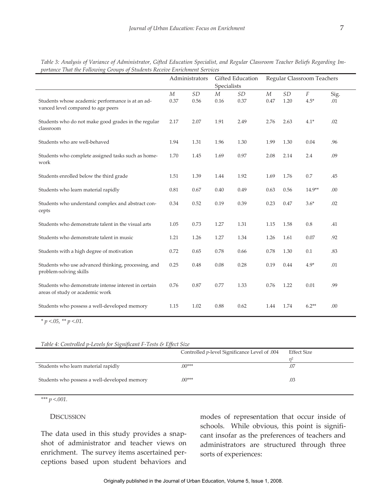|                                                                                         | Administrators           |                                    | Gifted Education<br>Specialists |                   | Regular Classroom Teachers |            |                    |             |  |
|-----------------------------------------------------------------------------------------|--------------------------|------------------------------------|---------------------------------|-------------------|----------------------------|------------|--------------------|-------------|--|
| Students whose academic performance is at an ad-<br>vanced level compared to age peers  | $\boldsymbol{M}$<br>0.37 | $\ensuremath{\mathit{SD}}$<br>0.56 | $M_{\rm}$<br>0.16               | <b>SD</b><br>0.37 | $M_{\rm}$<br>0.47          | SD<br>1.20 | $\cal F$<br>$4.5*$ | Sig.<br>.01 |  |
| Students who do not make good grades in the regular<br>classroom                        | 2.17                     | 2.07                               | 1.91                            | 2.49              | 2.76                       | 2.63       | $4.1*$             | .02         |  |
| Students who are well-behaved                                                           | 1.94                     | 1.31                               | 1.96                            | 1.30              | 1.99                       | 1.30       | 0.04               | .96         |  |
| Students who complete assigned tasks such as home-<br>work                              | 1.70                     | 1.45                               | 1.69                            | 0.97              | 2.08                       | 2.14       | 2.4                | .09         |  |
| Students enrolled below the third grade                                                 | 1.51                     | 1.39                               | 1.44                            | 1.92              | 1.69                       | 1.76       | 0.7                | .45         |  |
| Students who learn material rapidly                                                     | 0.81                     | 0.67                               | 0.40                            | 0.49              | 0.63                       | 0.56       | $14.9**$           | .00         |  |
| Students who understand complex and abstract con-<br>cepts                              | 0.34                     | 0.52                               | 0.19                            | 0.39              | 0.23                       | 0.47       | $3.6*$             | .02         |  |
| Students who demonstrate talent in the visual arts                                      | 1.05                     | 0.73                               | 1.27                            | 1.31              | 1.15                       | 1.58       | 0.8                | .41         |  |
| Students who demonstrate talent in music                                                | 1.21                     | 1.26                               | 1.27                            | 1.34              | 1.26                       | 1.61       | 0.07               | .92         |  |
| Students with a high degree of motivation                                               | 0.72                     | 0.65                               | 0.78                            | 0.66              | 0.78                       | 1.30       | 0.1                | .83         |  |
| Students who use advanced thinking, processing, and<br>problem-solving skills           | 0.25                     | 0.48                               | 0.08                            | 0.28              | 0.19                       | 0.44       | $4.9*$             | .01         |  |
| Students who demonstrate intense interest in certain<br>areas of study or academic work | 0.76                     | 0.87                               | 0.77                            | 1.33              | 0.76                       | 1.22       | 0.01               | .99         |  |
| Students who possess a well-developed memory                                            | 1.15                     | 1.02                               | 0.88                            | 0.62              | 1.44                       | 1.74       | $6.2**$            | .00         |  |

*Table 3: Analysis of Variance of Administrator, Gifted Education Specialist, and Regular Classroom Teacher Beliefs Regarding Importance That the Following Groups of Students Receive Enrichment Services* 

*\* p <.05, \*\* p <.01.* 

*Table 4: Controlled p-Levels for Significant F-Tests & Effect Size* 

|                                              | Controlled <i>p</i> -level Significance Level of .004 | Effect Size |
|----------------------------------------------|-------------------------------------------------------|-------------|
|                                              |                                                       |             |
| Students who learn material rapidly          | $.00***$                                              | .07         |
| Students who possess a well-developed memory | $(00***)$                                             | .03         |

*\*\*\* p <.001.* 

#### DISCUSSION

The data used in this study provides a snapshot of administrator and teacher views on enrichment. The survey items ascertained perceptions based upon student behaviors and

 modes of representation that occur inside of schools. While obvious, this point is significant insofar as the preferences of teachers and administrators are structured through three sorts of experiences: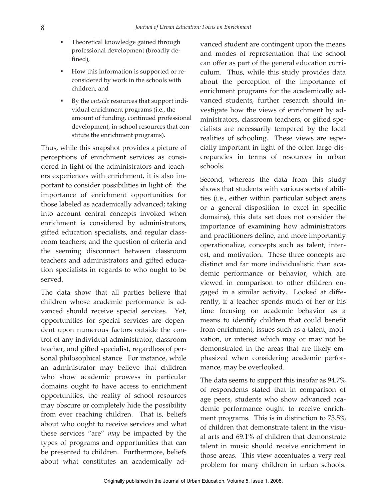- Theoretical knowledge gained through professional development (broadly defined),
- How this information is supported or reconsidered by work in the schools with children, and
- By the *outside* resources that support individual enrichment programs (i.e., the amount of funding, continued professional development, in-school resources that constitute the enrichment programs).

Thus, while this snapshot provides a picture of perceptions of enrichment services as considered in light of the administrators and teachers experiences with enrichment, it is also important to consider possibilities in light of: the importance of enrichment opportunities for those labeled as academically advanced; taking into account central concepts invoked when enrichment is considered by administrators, gifted education specialists, and regular classroom teachers; and the question of criteria and the seeming disconnect between classroom teachers and administrators and gifted education specialists in regards to who ought to be served.

 The data show that all parties believe that children whose academic performance is advanced should receive special services. Yet, opportunities for special services are dependent upon numerous factors outside the control of any individual administrator, classroom teacher, and gifted specialist, regardless of personal philosophical stance. For instance, while an administrator may believe that children who show academic prowess in particular domains ought to have access to enrichment opportunities, the reality of school resources may obscure or completely hide the possibility from ever reaching children. That is, beliefs about who ought to receive services and what these services "are" *may* be impacted by the types of programs and opportunities that can be presented to children. Furthermore, beliefs about what constitutes an academically ad-

 realities of schooling. These views are espevanced student are contingent upon the means and modes of representation that the school can offer as part of the general education curriculum. Thus, while this study provides data about the perception of the importance of enrichment programs for the academically advanced students, further research should investigate how the views of enrichment by administrators, classroom teachers, or gifted specialists are necessarily tempered by the local cially important in light of the often large discrepancies in terms of resources in urban schools.

Second, whereas the data from this study shows that students with various sorts of abilities (i.e., either within particular subject areas or a general disposition to excel in specific domains), this data set does not consider the importance of examining how administrators and practitioners define, and more importantly operationalize, concepts such as talent, interest, and motivation. These three concepts are distinct and far more individualistic than academic performance or behavior, which are viewed in comparison to other children engaged in a similar activity. Looked at differently, if a teacher spends much of her or his time focusing on academic behavior as a means to identify children that could benefit from enrichment, issues such as a talent, motivation, or interest which may or may not be demonstrated in the areas that are likely emphasized when considering academic performance, may be overlooked.

 The data seems to support this insofar as 94.7% of respondents stated that in comparison of age peers, students who show advanced academic performance ought to receive enrichment programs. This is in distinction to 73.5% of children that demonstrate talent in the visual arts and 69.1% of children that demonstrate talent in music should receive enrichment in those areas. This view accentuates a very real problem for many children in urban schools.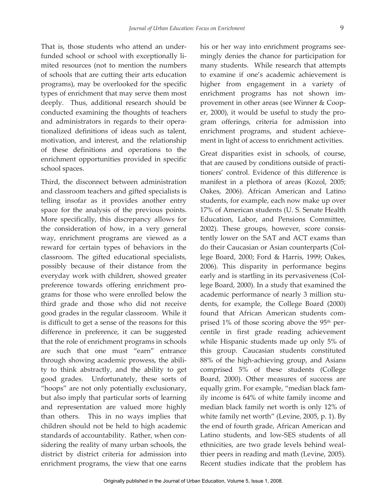mited resources (not to mention the numbers and administrators in regards to their opera- enrichment opportunities provided in specific That is, those students who attend an underfunded school or school with exceptionally liof schools that are cutting their arts education programs), may be overlooked for the specific types of enrichment that may serve them most deeply. Thus, additional research should be conducted examining the thoughts of teachers tionalized definitions of ideas such as talent, motivation, and interest, and the relationship of these definitions and operations to the school spaces.

 grams for those who were enrolled below the but also imply that particular sorts of learning Third, the disconnect between administration and classroom teachers and gifted specialists is telling insofar as it provides another entry space for the analysis of the previous points. More specifically, this discrepancy allows for the consideration of how, in a very general way, enrichment programs are viewed as a reward for certain types of behaviors in the classroom. The gifted educational specialists, possibly because of their distance from the everyday work with children, showed greater preference towards offering enrichment prothird grade and those who did not receive good grades in the regular classroom. While it is difficult to get a sense of the reasons for this difference in preference, it can be suggested that the role of enrichment programs in schools are such that one must "earn" entrance through showing academic prowess, the ability to think abstractly, and the ability to get good grades. Unfortunately, these sorts of "hoops" are not only potentially exclusionary, and representation are valued more highly than others. This in no ways implies that children should not be held to high academic standards of accountability. Rather, when considering the reality of many urban schools, the district by district criteria for admission into enrichment programs, the view that one earns

 many students. While research that attempts his or her way into enrichment programs seemingly denies the chance for participation for to examine if one's academic achievement is higher from engagement in a variety of enrichment programs has not shown improvement in other areas (see Winner & Cooper, 2000), it would be useful to study the program offerings, criteria for admission into enrichment programs, and student achievement in light of access to enrichment activities.

 Oakes, 2006). African American and Latino 17% of American students (U. S. Senate Health do their Caucasian or Asian counterparts (Col-Great disparities exist in schools, of course, that are caused by conditions outside of practitioners' control. Evidence of this difference is manifest in a plethora of areas (Kozol, 2005; students, for example, each now make up over Education, Labor, and Pensions Committee, 2002). These groups, however, score consistently lower on the SAT and ACT exams than lege Board, 2000; Ford & Harris, 1999; Oakes, 2006). This disparity in performance begins early and is startling in its pervasiveness (College Board, 2000). In a study that examined the academic performance of nearly 3 million students, for example, the College Board (2000) found that African American students comprised  $1\%$  of those scoring above the 95<sup>th</sup> percentile in first grade reading achievement while Hispanic students made up only 5% of this group. Caucasian students constituted 88% of the high-achieving group, and Asians comprised 5% of these students (College Board, 2000). Other measures of success are equally grim. For example, "median black family income is 64% of white family income and median black family net worth is only 12% of white family net worth" (Levine, 2005, p. 1). By the end of fourth grade, African American and Latino students, and low-SES students of all ethnicities, are two grade levels behind wealthier peers in reading and math (Levine, 2005). Recent studies indicate that the problem has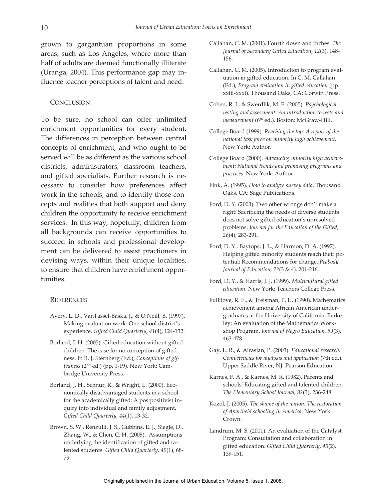grown to gargantuan proportions in some areas, such as Los Angeles, where more than half of adults are deemed functionally illiterate (Uranga, 2004). This performance gap may influence teacher perceptions of talent and need.

#### **CONCLUSION**

To be sure, no school can offer unlimited enrichment opportunities for every student. The differences in perception between central concepts of enrichment, and who ought to be served will be as different as the various school districts, administrators, classroom teachers, and gifted specialists. Further research is necessary to consider how preferences affect work in the schools, and to identify those concepts and realities that both support and deny children the opportunity to receive enrichment services. In this way, hopefully, children from all backgrounds can receive opportunities to succeed in schools and professional development can be delivered to assist practioners in devising ways, within their unique localities, to ensure that children have enrichment opportunities.

#### **REFERENCES**

- Avery, L. D., VanTassel-Baska, J., & O'Neill, B. (1997). Making evaluation work: One school district's experience. *Gifted Child Quarterly, 41*(4), 124-132.
- Borland, J. H. (2005). Gifted education without gifted children: The case for no conception of giftedness. In R. J. Sternberg (Ed.), *Conceptions of giftedness* (2nd ed.) (pp. 1-19). New York: Cambridge University Press.
- Borland, J. H., Schnur, R., & Wright, L. (2000). Economically disadvantaged students in a school for the academically gifted: A postpositivist inquiry into individual and family adjustment. *Gifted Child Quarterly, 44*(1), 13-32.
- Brown, S. W., Renzulli, J. S., Gubbins, E. J., Siegle, D., Zhang, W., & Chen, C. H. (2005). Assumptions underlying the identification of gifted and talented students. *Gifted Child Quarterly, 49*(1), 68 79.
- Callahan, C. M. (2001). Fourth down and inches. *The Journal of Secondary Gifted Education, 12*(3), 148 156.
- Callahan, C. M. (2005). Introduction to program evaluation in gifted education. In C. M. Callahan (Ed.), *Program evaluation in gifted education* (pp. xxiii-xxxi). Thousand Oaks, CA: Corwin Press.
- Cohen, R. J., & Swerdlik, M. E. (2005). *Psychological testing and assessment: An introduction to tests and*  measurement (6<sup>th</sup> ed.). Boston: McGraw-Hill.
- College Board (1999). *Reaching the top: A report of the national task force on minority high achievement*. New York: Author.
- College Board (2000). *Advancing minority high achievement: National trends and promising programs and practices*. New York: Author.
- Fink, A. (1995). *How to analyze survey data*. Thousand Oaks, CA: Sage Publications.
- Ford, D. Y. (2003). Two other wrongs don't make a right: Sacrificing the needs of diverse students does not solve gifted education's unresolved problems. *Journal for the Education of the Gifted, 26*(4), 283-291.
- Ford, D. Y., Baytops, J. L., & Harmon, D. A. (1997). Helping gifted minority students reach their potential: Recommendations for change. *Peabody Journal of Education, 72*(3 & 4), 201-216.
- Ford, D. Y., & Harris, J. J. (1999). *Multicultural gifted education*. New York: Teachers College Press.
- Fullilove, R. E., & Treisman, P. U. (1990). Mathematics achievement among African American undergraduates at the University of California, Berkeley: An evaluation of the Mathematics Workshop Program. *Journal of Negro Education, 59*(3), 463-478.
- Gay, L. R., & Airasian, P. (2003). *Educational research: Competencies for analysis and application* (7th ed.). Upper Saddle River, NJ: Pearson Education.
- Karnes, F. A., & Karnes, M. R. (1982). Parents and schools: Educating gifted and talented children. *The Elementary School Journal, 82*(3), 236-248. Kozol, J. (2005). *The shame of the nation: The restoration*
- *of Apartheid schooling in America*. New York: Crown.
- Landrum, M. S. (2001). An evaluation of the Catalyst Program: Consultation and collaboration in gifted education. *Gifted Child Quarterly, 45*(2), 139-151.